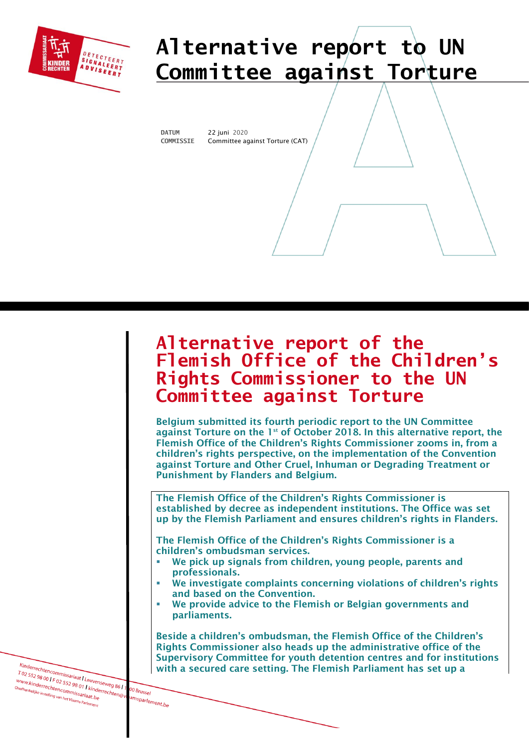

# **Alternative report to UN Committee against Torture**

١

**DATUM** 22 juni 2020 Committee against Torture (CAT)

## **Alternative report of the Flemish Office of the Children's Rights Commissioner to the UN Committee against Torture**

Belgium submitted its fourth periodic report to the UN Committee against Torture on the  $1<sup>st</sup>$  of October 2018. In this alternative report, the Flemish Office of the Children's Rights Commissioner zooms in, from a children's rights perspective, on the implementation of the [Convention](https://www.ohchr.org/EN/ProfessionalInterest/Pages/CAT.aspx)  [against Torture and Other Cruel, Inhuman or Degrading Treatment or](https://www.ohchr.org/EN/ProfessionalInterest/Pages/CAT.aspx)  [Punishment](https://www.ohchr.org/EN/ProfessionalInterest/Pages/CAT.aspx) by Flanders and Belgium.

The Flemish Office of the Children's Rights Commissioner is established by decree as independent institutions. The Office was set up by the Flemish Parliament and ensures children's rights in Flanders.

The Flemish Office of the Children's Rights Commissioner is a children's ombudsman services.

- We pick up signals from children, young people, parents and professionals.
- We investigate complaints concerning violations of children's rights and based on the Convention.
- We provide advice to the Flemish or Belgian governments and parliaments.

Beside a children's ombudsman, the Flemish Office of the Children's Rights Commissioner also heads up the administrative office of the Supervisory Committee for youth detention centres and for institutions with a secured care setting. The Flemish Parliament has set up a

Kinderrechtencommissariaat I Leuvenseweg 861<br>T 02 552 98 00 I F 02 552 98 01 Leuvenseweg 861<br><sup>WWW.kinderrechtencommistarial Righterrechtencommistarial Righterrechtencommistarial Righterrechtencommistari</sup> Kinderrechtencommissariaat I Leuvenseweg 86 | 1<br>T 02 552 98 00 | F 02 552 98 01 | kinderrechten<br><sup>Onafhankelijke instelling van het Viammis Sarlachterrechten@v,<br><sup>Onafhankelijke instelling van het Viammis ata.be</sup></sup> www.kinderrechtencommissariaat | Leuven<br>| www.kinderrechtencommissariaat.html<br>| Onafhankelijke instelling van het Vlaams Parle.html 00 Brussel enechtencommissar<br><sup>e instelling van het Vlaams Pe</sub></sup>

amsparlement.be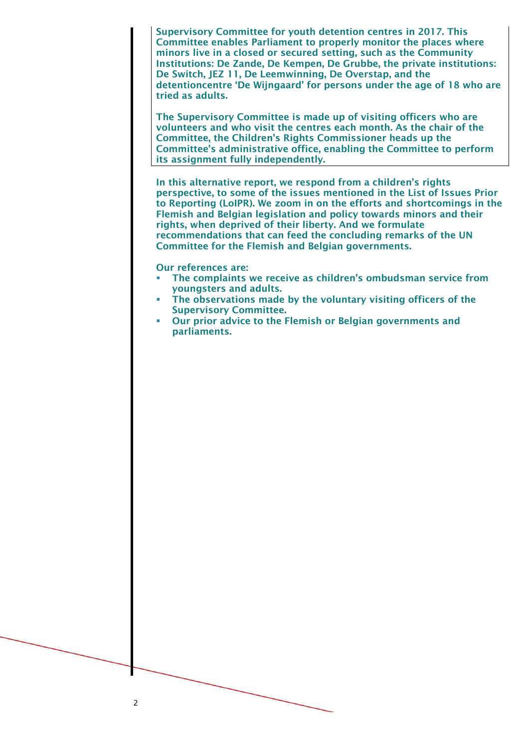Supervisory Committee for youth detention centres in 2017. This Committee enables Parliament to properly monitor the places where minors live in a closed or secured setting, such as the Community Institutions: De Zande, De Kempen, De Grubbe, the private institutions: De Switch, JEZ 11, De Leemwinning, De Overstap, and the detentioncentre 'De Wijngaard' for persons under the age of 18 who are tried as adults.

The Supervisory Committee is made up of visiting officers who are volunteers and who visit the centres each month. As the chair of the Committee, the Children's Rights Commissioner heads up the Committee's administrative office, enabling the Committee to perform its assignment fully independently.

In this alternative report, we respond from a children's rights perspective, to some of the issues mentioned in the List of Issues Prior to Reporting (LoIPR). We zoom in on the efforts and shortcomings in the Flemish and Belgian legislation and policy towards minors and their rights, when deprived of their liberty. And we formulate recommendations that can feed the concluding remarks of the UN Committee for the Flemish and Belgian governments.

Our references are:

- **The complaints we receive as children's ombudsman service from** youngsters and adults.
- The observations made by the voluntary visiting officers of the Supervisory Committee.
- Our prior advice to the Flemish or Belgian governments and parliaments.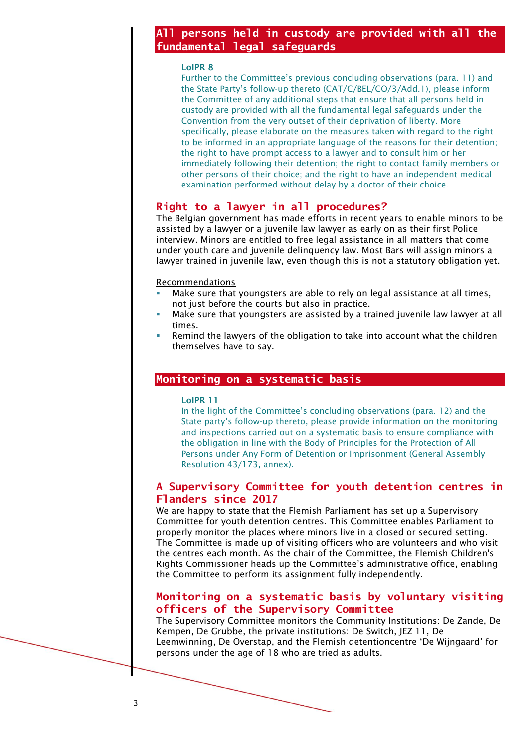## **All persons held in custody are provided with all the fundamental legal safeguards**

#### LoIPR 8

Further to the Committee's previous concluding observations (para. 11) and the State Party's follow-up thereto (CAT/C/BEL/CO/3/Add.1), please inform the Committee of any additional steps that ensure that all persons held in custody are provided with all the fundamental legal safeguards under the Convention from the very outset of their deprivation of liberty. More specifically, please elaborate on the measures taken with regard to the right to be informed in an appropriate language of the reasons for their detention; the right to have prompt access to a lawyer and to consult him or her immediately following their detention; the right to contact family members or other persons of their choice; and the right to have an independent medical examination performed without delay by a doctor of their choice.

## **Right to a lawyer in all procedures?**

The Belgian government has made efforts in recent years to enable minors to be assisted by a lawyer or a juvenile law lawyer as early on as their first Police interview. Minors are entitled to free legal assistance in all matters that come under youth care and juvenile delinquency law. Most Bars will assign minors a lawyer trained in juvenile law, even though this is not a statutory obligation yet.

#### Recommendations

- Make sure that youngsters are able to rely on legal assistance at all times, not just before the courts but also in practice.
- Make sure that youngsters are assisted by a trained juvenile law lawyer at all times.
- Remind the lawyers of the obligation to take into account what the children themselves have to say.

## **Monitoring on a systematic basis**

#### LoIPR 11

In the light of the Committee's concluding observations (para. 12) and the State party's follow-up thereto, please provide information on the monitoring and inspections carried out on a systematic basis to ensure compliance with the obligation in line with the Body of Principles for the Protection of All Persons under Any Form of Detention or Imprisonment (General Assembly Resolution 43/173, annex).

## **A Supervisory Committee for youth detention centres in Flanders since 2017**

We are happy to state that the Flemish Parliament has set up a Supervisory Committee for youth detention centres. This Committee enables Parliament to properly monitor the places where minors live in a closed or secured setting. The Committee is made up of visiting officers who are volunteers and who visit the centres each month. As the chair of the Committee, the Flemish Children's Rights Commissioner heads up the Committee's administrative office, enabling the Committee to perform its assignment fully independently.

## **Monitoring on a systematic basis by voluntary visiting officers of the Supervisory Committee**

The Supervisory Committee monitors the Community Institutions: De Zande, De Kempen, De Grubbe, the private institutions: De Switch, JEZ 11, De Leemwinning, De Overstap, and the Flemish detentioncentre 'De Wijngaard' for persons under the age of 18 who are tried as adults.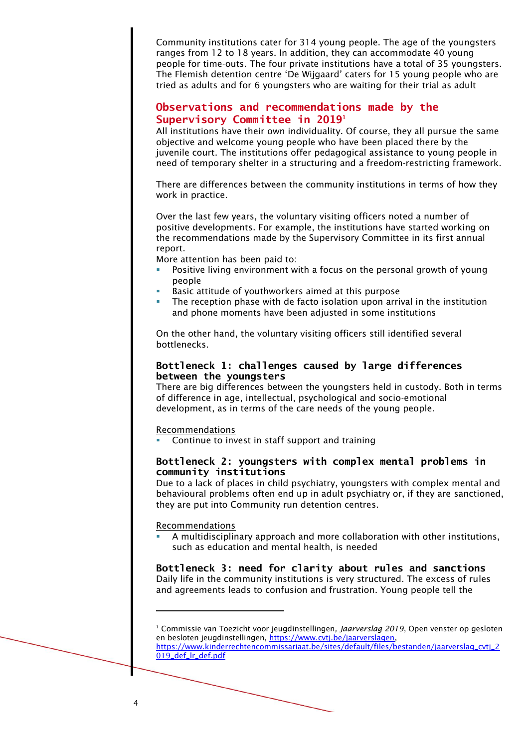Community institutions cater for 314 young people. The age of the youngsters ranges from 12 to 18 years. In addition, they can accommodate 40 young people for time-outs. The four private institutions have a total of 35 youngsters. The Flemish detention centre 'De Wijgaard' caters for 15 young people who are tried as adults and for 6 youngsters who are waiting for their trial as adult

## **Observations and recommendations made by the Supervisory Committee in 2019<sup>1</sup>**

All institutions have their own individuality. Of course, they all pursue the same objective and welcome young people who have been placed there by the juvenile court. The institutions offer pedagogical assistance to young people in need of temporary shelter in a structuring and a freedom-restricting framework.

There are differences between the community institutions in terms of how they work in practice.

Over the last few years, the voluntary visiting officers noted a number of positive developments. For example, the institutions have started working on the recommendations made by the Supervisory Committee in its first annual report.

More attention has been paid to:

- Positive living environment with a focus on the personal growth of young people
- Basic attitude of youthworkers aimed at this purpose
- The reception phase with de facto isolation upon arrival in the institution and phone moments have been adjusted in some institutions

On the other hand, the voluntary visiting officers still identified several bottlenecks.

## **Bottleneck 1: challenges caused by large differences between the youngsters**

There are big differences between the youngsters held in custody. Both in terms of difference in age, intellectual, psychological and socio-emotional development, as in terms of the care needs of the young people.

#### **Recommendations**

Continue to invest in staff support and training

## **Bottleneck 2: youngsters with complex mental problems in community institutions**

Due to a lack of places in child psychiatry, youngsters with complex mental and behavioural problems often end up in adult psychiatry or, if they are sanctioned, they are put into Community run detention centres.

## Recommendations

A multidisciplinary approach and more collaboration with other institutions, such as education and mental health, is needed

## **Bottleneck 3: need for clarity about rules and sanctions** Daily life in the community institutions is very structured. The excess of rules

and agreements leads to confusion and frustration. Young people tell the

<sup>1</sup> Commissie van Toezicht voor jeugdinstellingen*, Jaarverslag 2019*, Open venster op gesloten en besloten jeugdinstellingen, [https://www.cvtj.be/jaarverslagen,](https://www.cvtj.be/jaarverslagen) [https://www.kinderrechtencommissariaat.be/sites/default/files/bestanden/jaarverslag\\_cvtj\\_2](https://www.kinderrechtencommissariaat.be/sites/default/files/bestanden/jaarverslag_cvtj_2019_def_lr_def.pdf)

[<sup>019</sup>\\_def\\_lr\\_def.pdf](https://www.kinderrechtencommissariaat.be/sites/default/files/bestanden/jaarverslag_cvtj_2019_def_lr_def.pdf)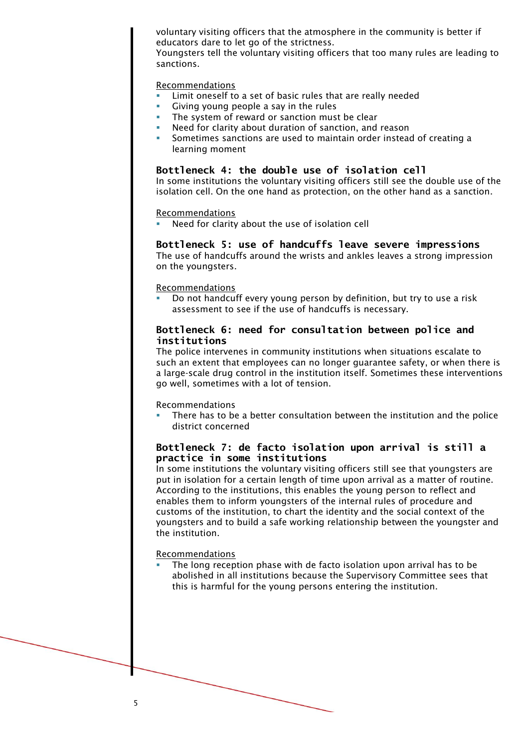voluntary visiting officers that the atmosphere in the community is better if educators dare to let go of the strictness.

Youngsters tell the voluntary visiting officers that too many rules are leading to sanctions.

#### Recommendations

- Limit oneself to a set of basic rules that are really needed
- Giving young people a say in the rules
- The system of reward or sanction must be clear
- Need for clarity about duration of sanction, and reason
- Sometimes sanctions are used to maintain order instead of creating a learning moment

## **Bottleneck 4: the double use of isolation cell**

In some institutions the voluntary visiting officers still see the double use of the isolation cell. On the one hand as protection, on the other hand as a sanction.

#### Recommendations

Need for clarity about the use of isolation cell

#### **Bottleneck 5: use of handcuffs leave severe impressions** The use of handcuffs around the wrists and ankles leaves a strong impression on the youngsters.

#### Recommendations

Do not handcuff every young person by definition, but try to use a risk assessment to see if the use of handcuffs is necessary.

## **Bottleneck 6: need for consultation between police and institutions**

The police intervenes in community institutions when situations escalate to such an extent that employees can no longer guarantee safety, or when there is a large-scale drug control in the institution itself. Sometimes these interventions go well, sometimes with a lot of tension.

#### Recommendations

There has to be a better consultation between the institution and the police district concerned

## **Bottleneck 7: de facto isolation upon arrival is still a practice in some institutions**

In some institutions the voluntary visiting officers still see that youngsters are put in isolation for a certain length of time upon arrival as a matter of routine. According to the institutions, this enables the young person to reflect and enables them to inform youngsters of the internal rules of procedure and customs of the institution, to chart the identity and the social context of the youngsters and to build a safe working relationship between the youngster and the institution.

#### Recommendations

The long reception phase with de facto isolation upon arrival has to be abolished in all institutions because the Supervisory Committee sees that this is harmful for the young persons entering the institution.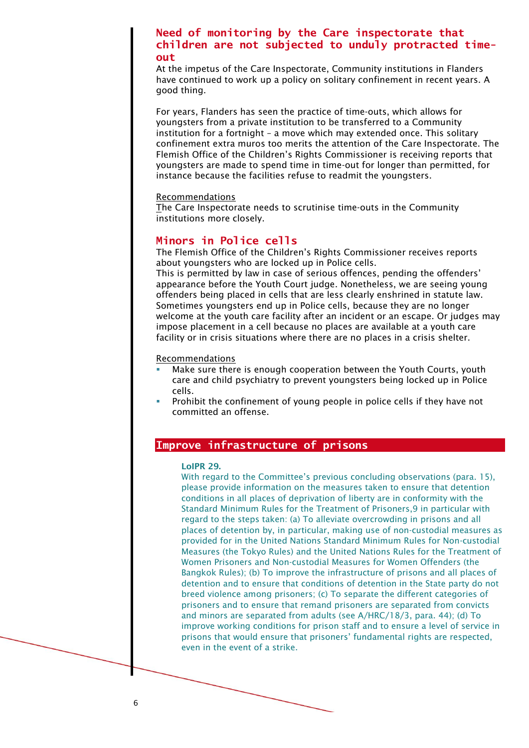## **Need of monitoring by the Care inspectorate that children are not subjected to unduly protracted timeout**

At the impetus of the Care Inspectorate, Community institutions in Flanders have continued to work up a policy on solitary confinement in recent years. A good thing.

For years, Flanders has seen the practice of time-outs, which allows for youngsters from a private institution to be transferred to a Community institution for a fortnight – a move which may extended once. This solitary confinement extra muros too merits the attention of the Care Inspectorate. The Flemish Office of the Children's Rights Commissioner is receiving reports that youngsters are made to spend time in time-out for longer than permitted, for instance because the facilities refuse to readmit the youngsters.

#### Recommendations

The Care Inspectorate needs to scrutinise time-outs in the Community institutions more closely.

## **Minors in Police cells**

The Flemish Office of the Children's Rights Commissioner receives reports about youngsters who are locked up in Police cells.

This is permitted by law in case of serious offences, pending the offenders' appearance before the Youth Court judge. Nonetheless, we are seeing young offenders being placed in cells that are less clearly enshrined in statute law. Sometimes youngsters end up in Police cells, because they are no longer welcome at the youth care facility after an incident or an escape. Or judges may impose placement in a cell because no places are available at a youth care facility or in crisis situations where there are no places in a crisis shelter.

#### Recommendations

- Make sure there is enough cooperation between the Youth Courts, youth care and child psychiatry to prevent youngsters being locked up in Police cells.
- Prohibit the confinement of young people in police cells if they have not committed an offense.

## **Improve infrastructure of prisons**

#### LoIPR 29.

With regard to the Committee's previous concluding observations (para. 15), please provide information on the measures taken to ensure that detention conditions in all places of deprivation of liberty are in conformity with the Standard Minimum Rules for the Treatment of Prisoners,9 in particular with regard to the steps taken: (a) To alleviate overcrowding in prisons and all places of detention by, in particular, making use of non-custodial measures as provided for in the United Nations Standard Minimum Rules for Non-custodial Measures (the Tokyo Rules) and the United Nations Rules for the Treatment of Women Prisoners and Non-custodial Measures for Women Offenders (the Bangkok Rules); (b) To improve the infrastructure of prisons and all places of detention and to ensure that conditions of detention in the State party do not breed violence among prisoners; (c) To separate the different categories of prisoners and to ensure that remand prisoners are separated from convicts and minors are separated from adults (see A/HRC/18/3, para. 44); (d) To improve working conditions for prison staff and to ensure a level of service in prisons that would ensure that prisoners' fundamental rights are respected, even in the event of a strike.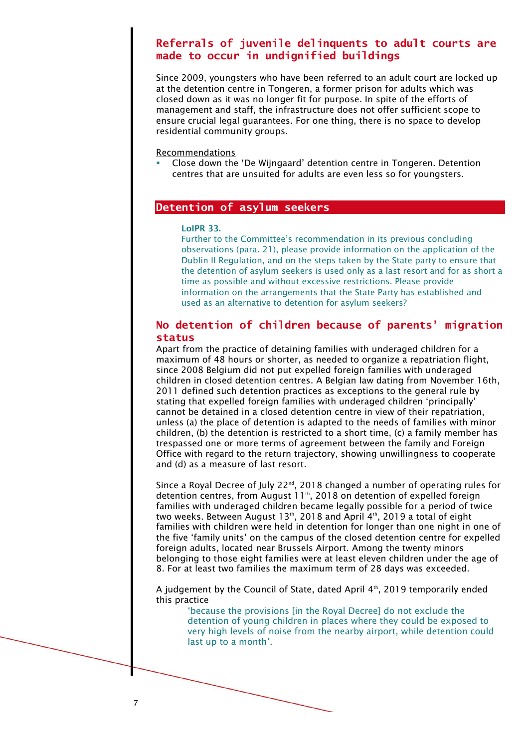## **Referrals of juvenile delinquents to adult courts are made to occur in undignified buildings**

Since 2009, youngsters who have been referred to an adult court are locked up at the detention centre in Tongeren, a former prison for adults which was closed down as it was no longer fit for purpose. In spite of the efforts of management and staff, the infrastructure does not offer sufficient scope to ensure crucial legal guarantees. For one thing, there is no space to develop residential community groups.

Recommendations

Close down the 'De Wijngaard' detention centre in Tongeren. Detention centres that are unsuited for adults are even less so for youngsters.

## **Detention of asylum seekers**

#### LoIPR 33.

Further to the Committee's recommendation in its previous concluding observations (para. 21), please provide information on the application of the Dublin II Regulation, and on the steps taken by the State party to ensure that the detention of asylum seekers is used only as a last resort and for as short a time as possible and without excessive restrictions. Please provide information on the arrangements that the State Party has established and used as an alternative to detention for asylum seekers?

## **No detention of children because of parents' migration status**

Apart from the practice of detaining families with underaged children for a maximum of 48 hours or shorter, as needed to organize a repatriation flight, since 2008 Belgium did not put expelled foreign families with underaged children in closed detention centres. A Belgian law dating from November 16th, 2011 defined such detention practices as exceptions to the general rule by stating that expelled foreign families with underaged children 'principally' cannot be detained in a closed detention centre in view of their repatriation, unless (a) the place of detention is adapted to the needs of families with minor children, (b) the detention is restricted to a short time, (c) a family member has trespassed one or more terms of agreement between the family and Foreign Office with regard to the return trajectory, showing unwillingness to cooperate and (d) as a measure of last resort.

Since a Royal Decree of July 22<sup>nd</sup>, 2018 changed a number of operating rules for detention centres, from August 11<sup>th</sup>, 2018 on detention of expelled foreign families with underaged children became legally possible for a period of twice two weeks. Between August 13th, 2018 and April 4th, 2019 a total of eight families with children were held in detention for longer than one night in one of the five 'family units' on the campus of the closed detention centre for expelled foreign adults, located near Brussels Airport. Among the twenty minors belonging to those eight families were at least eleven children under the age of 8. For at least two families the maximum term of 28 days was exceeded.

A judgement by the Council of State, dated April  $4<sup>th</sup>$ , 2019 temporarily ended this practice

'because the provisions [in the Royal Decree] do not exclude the detention of young children in places where they could be exposed to very high levels of noise from the nearby airport, while detention could last up to a month'.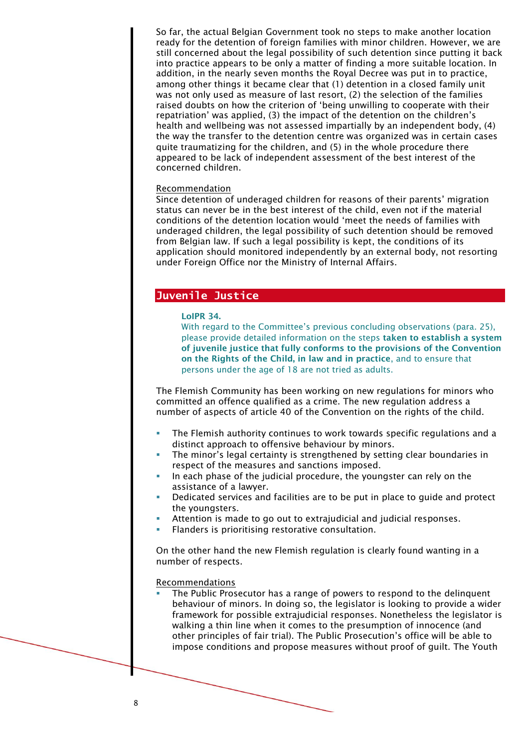So far, the actual Belgian Government took no steps to make another location ready for the detention of foreign families with minor children. However, we are still concerned about the legal possibility of such detention since putting it back into practice appears to be only a matter of finding a more suitable location. In addition, in the nearly seven months the Royal Decree was put in to practice, among other things it became clear that (1) detention in a closed family unit was not only used as measure of last resort, (2) the selection of the families raised doubts on how the criterion of 'being unwilling to cooperate with their repatriation' was applied, (3) the impact of the detention on the children's health and wellbeing was not assessed impartially by an independent body, (4) the way the transfer to the detention centre was organized was in certain cases quite traumatizing for the children, and (5) in the whole procedure there appeared to be lack of independent assessment of the best interest of the concerned children.

#### Recommendation

Since detention of underaged children for reasons of their parents' migration status can never be in the best interest of the child, even not if the material conditions of the detention location would 'meet the needs of families with underaged children, the legal possibility of such detention should be removed from Belgian law. If such a legal possibility is kept, the conditions of its application should monitored independently by an external body, not resorting under Foreign Office nor the Ministry of Internal Affairs.

## **Juvenile Justice**

#### LoIPR 34.

With regard to the Committee's previous concluding observations (para. 25). please provide detailed information on the steps taken to establish a system of juvenile justice that fully conforms to the provisions of the Convention on the Rights of the Child, in law and in practice, and to ensure that persons under the age of 18 are not tried as adults.

The Flemish Community has been working on new regulations for minors who committed an offence qualified as a crime. The new regulation address a number of aspects of article 40 of the Convention on the rights of the child.

- The Flemish authority continues to work towards specific regulations and a distinct approach to offensive behaviour by minors.
- The minor's legal certainty is strengthened by setting clear boundaries in respect of the measures and sanctions imposed.
- In each phase of the judicial procedure, the youngster can rely on the assistance of a lawyer.
- **•** Dedicated services and facilities are to be put in place to guide and protect the youngsters.
- Attention is made to go out to extrajudicial and judicial responses.
- Flanders is prioritising restorative consultation.

On the other hand the new Flemish regulation is clearly found wanting in a number of respects.

#### Recommendations

The Public Prosecutor has a range of powers to respond to the delinquent behaviour of minors. In doing so, the legislator is looking to provide a wider framework for possible extrajudicial responses. Nonetheless the legislator is walking a thin line when it comes to the presumption of innocence (and other principles of fair trial). The Public Prosecution's office will be able to impose conditions and propose measures without proof of guilt. The Youth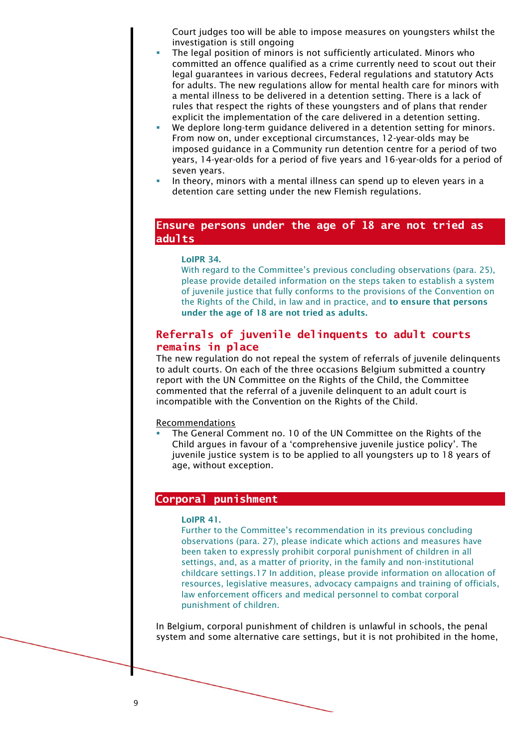Court judges too will be able to impose measures on youngsters whilst the investigation is still ongoing

- The legal position of minors is not sufficiently articulated. Minors who committed an offence qualified as a crime currently need to scout out their legal guarantees in various decrees, Federal regulations and statutory Acts for adults. The new regulations allow for mental health care for minors with a mental illness to be delivered in a detention setting. There is a lack of rules that respect the rights of these youngsters and of plans that render explicit the implementation of the care delivered in a detention setting.
- We deplore long-term guidance delivered in a detention setting for minors. From now on, under exceptional circumstances, 12-year-olds may be imposed guidance in a Community run detention centre for a period of two years, 14-year-olds for a period of five years and 16-year-olds for a period of seven years.
- In theory, minors with a mental illness can spend up to eleven years in a detention care setting under the new Flemish regulations.

## **Ensure persons under the age of 18 are not tried as adults**

#### LoIPR 34.

With regard to the Committee's previous concluding observations (para. 25), please provide detailed information on the steps taken to establish a system of juvenile justice that fully conforms to the provisions of the Convention on the Rights of the Child, in law and in practice, and to ensure that persons under the age of 18 are not tried as adults.

## **Referrals of juvenile delinquents to adult courts remains in place**

The new regulation do not repeal the system of referrals of juvenile delinquents to adult courts. On each of the three occasions Belgium submitted a country report with the UN Committee on the Rights of the Child, the Committee commented that the referral of a juvenile delinquent to an adult court is incompatible with the Convention on the Rights of the Child.

#### Recommendations

The General Comment no. 10 of the UN Committee on the Rights of the Child argues in favour of a 'comprehensive juvenile justice policy'. The juvenile justice system is to be applied to all youngsters up to 18 years of age, without exception.

#### **Corporal punishment**

## LoIPR 41.

Further to the Committee's recommendation in its previous concluding observations (para. 27), please indicate which actions and measures have been taken to expressly prohibit corporal punishment of children in all settings, and, as a matter of priority, in the family and non-institutional childcare settings.17 In addition, please provide information on allocation of resources, legislative measures, advocacy campaigns and training of officials, law enforcement officers and medical personnel to combat corporal punishment of children.

In Belgium, corporal punishment of children is unlawful in schools, the penal system and some alternative care settings, but it is not prohibited in the home,